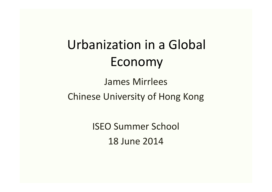# Urbanization in a Global Economy

# James Mirrlees Chinese University of Hong Kong

ISEO Summer School 18 June 2014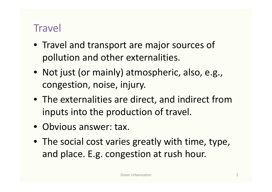#### **Travel**

- Travel and transport are major sources of pollution and other externalities.
- Not just (or mainly) atmospheric, also, e.g., congestion, noise, injury.
- The externalities are direct, and indirect from inputs into the production of travel.
- Obvious answer: tax.
- The social cost varies greatly with time, type, and place. E.g. congestion at rush hour.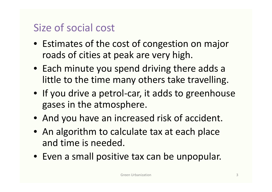## Size of social cost

- Estimates of the cost of congestion on major roads of cities at peak are very high.
- Each minute you spend driving there adds a little to the time many others take travelling.
- If you drive a petrol-car, it adds to greenhouse gases in the atmosphere.
- And you have an increased risk of accident.
- An algorithm to calculate tax at each place and time is needed.
- Even a small positive tax can be unpopular.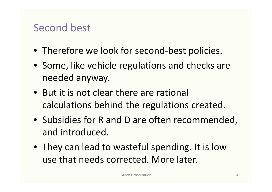#### Second best

- Therefore we look for second-best policies.
- Some, like vehicle regulations and checks are needed anyway.
- But it is not clear there are rational calculations behind the regulations created.
- Subsidies for R and D are often recommended, and introduced.
- They can lead to wasteful spending. It is low use that needs corrected. More later.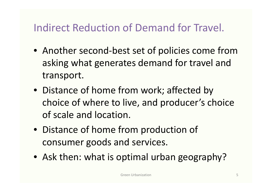# Indirect Reduction of Demand for Travel.

- Another second-best set of policies come from asking what generates demand for travel and transport.
- Distance of home from work; affected by choice of where to live, and producer's choice of scale and location.
- Distance of home from production of consumer goods and services.
- Ask then: what is optimal urban geography?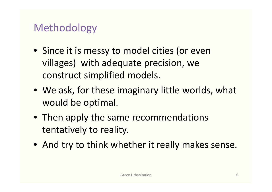#### Methodology

- Since it is messy to model cities (or even villages) with adequate precision, we construct simplified models.
- We ask, for these imaginary little worlds, what would be optimal.
- Then apply the same recommendations tentatively to reality.
- And try to think whether it really makes sense.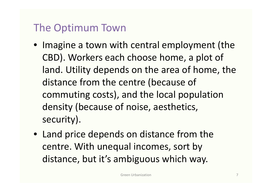## The Optimum Town

- Imagine a town with central employment (the CBD). Workers each choose home, a plot of land. Utility depends on the area of home, the distance from the centre (because of commuting costs), and the local population density (because of noise, aesthetics, security).
- Land price depends on distance from the centre. With unequal incomes, sort by distance, but it's ambiguous which way.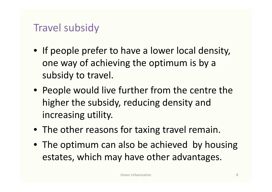#### Travel subsidy

- If people prefer to have a lower local density, one way of achieving the optimum is by a subsidy to travel.
- People would live further from the centre the higher the subsidy, reducing density and increasing utility.
- The other reasons for taxing travel remain.
- The optimum can also be achieved by housing estates, which may have other advantages.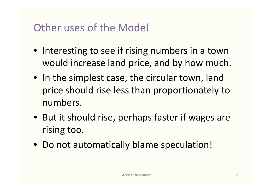#### Other uses of the Model

- Interesting to see if rising numbers in a town would increase land price, and by how much.
- In the simplest case, the circular town, land price should rise less than proportionately to numbers.
- But it should rise, perhaps faster if wages are rising too.
- Do not automatically blame speculation!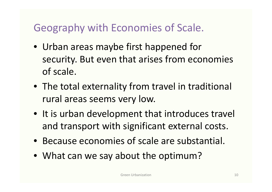## Geography with Economies of Scale.

- Urban areas maybe first happened for security. But even that arises from economies of scale.
- The total externality from travel in traditional rural areas seems very low.
- It is urban development that introduces travel and transport with significant external costs.
- Because economies of scale are substantial.
- What can we say about the optimum?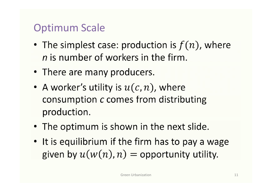## Optimum Scale

- The simplest case: production is  $f(n)$ , where *n* is number of workers in the firm.
- There are many producers.
- A worker's utility is  $u(c, n)$ , where consumption c comes from distributing production.
- The optimum is shown in the next slide.
- It is equilibrium if the firm has to pay a wage given by  $u(w(n), n) =$  opportunity utility.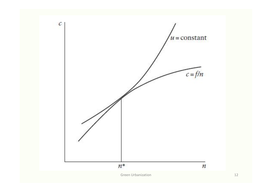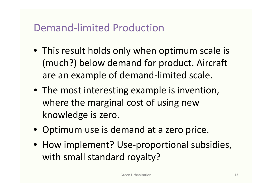#### Demand-limited Production

- This result holds only when optimum scale is (much?) below demand for product. Aircraft are an example of demand-limited scale.
- The most interesting example is invention, where the marginal cost of using new knowledge is zero.
- Optimum use is demand at a zero price.
- How implement? Use-proportional subsidies, with small standard royalty?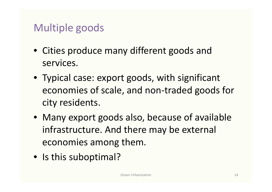# Multiple goods

- Cities produce many different goods and services.
- Typical case: export goods, with significant economies of scale, and non-traded goods for city residents.
- Many export goods also, because of available infrastructure. And there may be external economies among them.
- Is this suboptimal?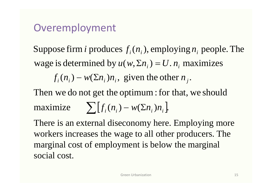#### Overemployment

wage is determined by  $u(w, \Sigma n_i) = U \cdot n_i$  maximizes<br>  $f_i(n_i) - w(\Sigma n_i) n_i$ , given the other  $n_i$ . Suppose firm *i* produces  $f_i(n_i)$ , employing  $n_i$  people. The

 $f_i(n_i) - w(\Sigma n_i)n_i$ , given the other  $n_j$ .

Then we do not get the optimum : for that, we should  $\sum [f_i(n_i) - w(\sum n_i)n_i].$ 

There is an external diseconomy here. Employing more workers increases the wage to all other producers. The marginal cost of employment is below the marginal social cost.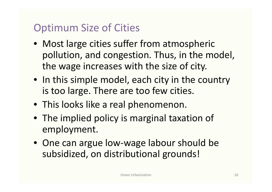# Optimum Size of Cities

- Most large cities suffer from atmospheric pollution, and congestion. Thus, in the model, the wage increases with the size of city.
- In this simple model, each city in the country is too large. There are too few cities.
- This looks like a real phenomenon.
- The implied policy is marginal taxation of employment.
- One can argue low-wage labour should be subsidized, on distributional grounds!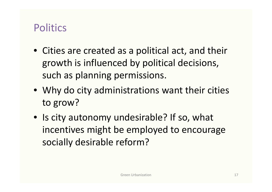#### **Politics**

- Cities are created as a political act, and their growth is influenced by political decisions, such as planning permissions.
- Why do city administrations want their cities to grow?
- Is city autonomy undesirable? If so, what incentives might be employed to encourage socially desirable reform?